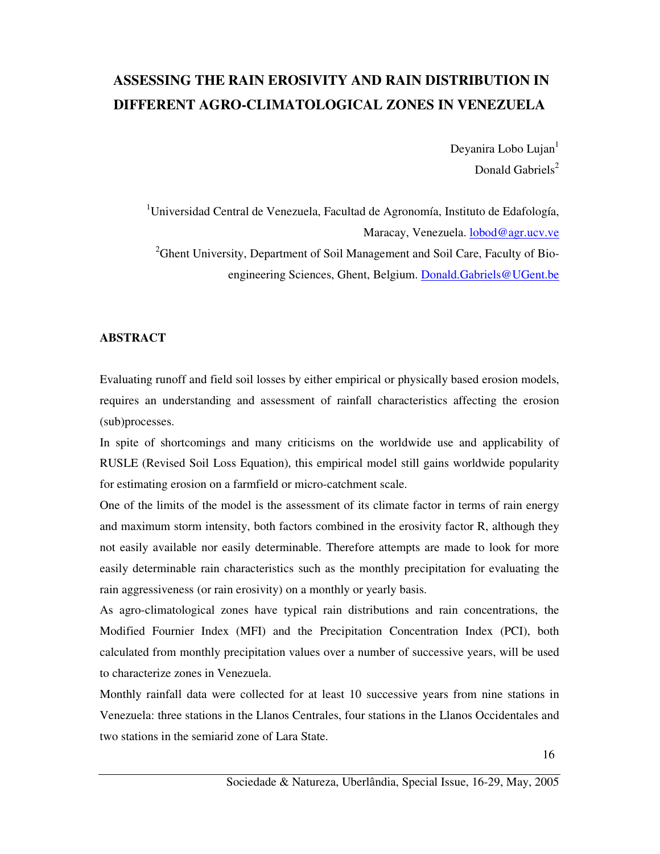# **ASSESSING THE RAIN EROSIVITY AND RAIN DISTRIBUTION IN DIFFERENT AGRO-CLIMATOLOGICAL ZONES IN VENEZUELA**

Deyanira Lobo Lujan<sup>1</sup> Donald Gabriels<sup>2</sup>

<sup>1</sup>Universidad Central de Venezuela, Facultad de Agronomía, Instituto de Edafología, Maracay, Venezuela. lobod@agr.ucv.ve <sup>2</sup>Ghent University, Department of Soil Management and Soil Care, Faculty of Bioengineering Sciences, Ghent, Belgium. Donald.Gabriels@UGent.be

## **ABSTRACT**

Evaluating runoff and field soil losses by either empirical or physically based erosion models, requires an understanding and assessment of rainfall characteristics affecting the erosion (sub)processes.

In spite of shortcomings and many criticisms on the worldwide use and applicability of RUSLE (Revised Soil Loss Equation), this empirical model still gains worldwide popularity for estimating erosion on a farmfield or micro-catchment scale.

One of the limits of the model is the assessment of its climate factor in terms of rain energy and maximum storm intensity, both factors combined in the erosivity factor R, although they not easily available nor easily determinable. Therefore attempts are made to look for more easily determinable rain characteristics such as the monthly precipitation for evaluating the rain aggressiveness (or rain erosivity) on a monthly or yearly basis.

As agro-climatological zones have typical rain distributions and rain concentrations, the Modified Fournier Index (MFI) and the Precipitation Concentration Index (PCI), both calculated from monthly precipitation values over a number of successive years, will be used to characterize zones in Venezuela.

Monthly rainfall data were collected for at least 10 successive years from nine stations in Venezuela: three stations in the Llanos Centrales, four stations in the Llanos Occidentales and two stations in the semiarid zone of Lara State.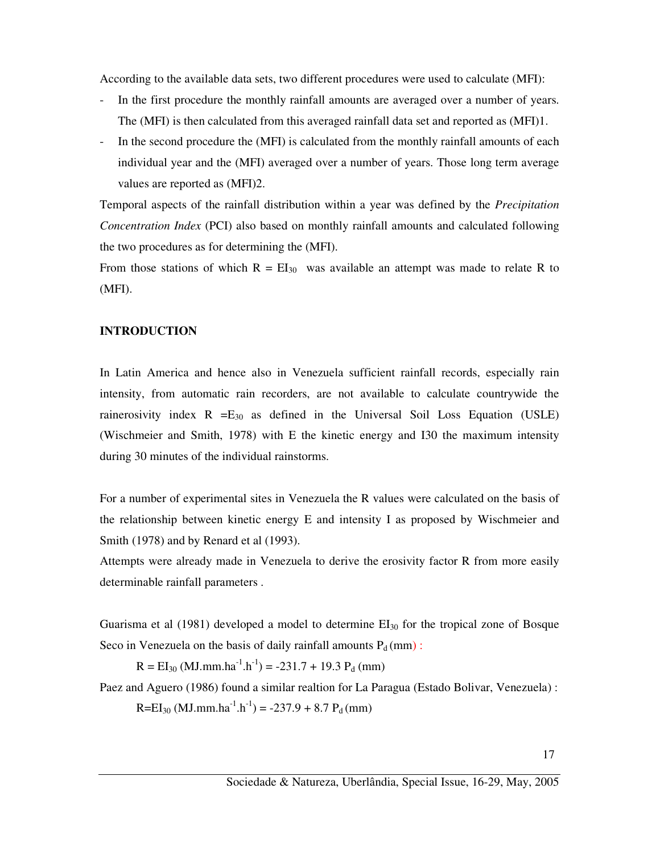According to the available data sets, two different procedures were used to calculate (MFI):

- In the first procedure the monthly rainfall amounts are averaged over a number of years. The (MFI) is then calculated from this averaged rainfall data set and reported as (MFI)1.
- In the second procedure the (MFI) is calculated from the monthly rainfall amounts of each individual year and the (MFI) averaged over a number of years. Those long term average values are reported as (MFI)2.

Temporal aspects of the rainfall distribution within a year was defined by the *Precipitation Concentration Index* (PCI) also based on monthly rainfall amounts and calculated following the two procedures as for determining the (MFI).

From those stations of which  $R = EI_{30}$  was available an attempt was made to relate R to (MFI).

#### **INTRODUCTION**

In Latin America and hence also in Venezuela sufficient rainfall records, especially rain intensity, from automatic rain recorders, are not available to calculate countrywide the rainerosivity index  $R = E_{30}$  as defined in the Universal Soil Loss Equation (USLE) (Wischmeier and Smith, 1978) with E the kinetic energy and I30 the maximum intensity during 30 minutes of the individual rainstorms.

For a number of experimental sites in Venezuela the R values were calculated on the basis of the relationship between kinetic energy E and intensity I as proposed by Wischmeier and Smith (1978) and by Renard et al (1993).

Attempts were already made in Venezuela to derive the erosivity factor R from more easily determinable rainfall parameters .

Guarisma et al  $(1981)$  developed a model to determine  $EI_{30}$  for the tropical zone of Bosque Seco in Venezuela on the basis of daily rainfall amounts  $P_d$  (mm) :

 $R = EI_{30} (MJ.mm.ha^{-1}.h^{-1}) = -231.7 + 19.3 P<sub>d</sub> (mm)$ 

Paez and Aguero (1986) found a similar realtion for La Paragua (Estado Bolivar, Venezuela) :

 $R=EI_{30} (MJ.mm.ha^{-1}.h^{-1}) = -237.9 + 8.7 P<sub>d</sub> (mm)$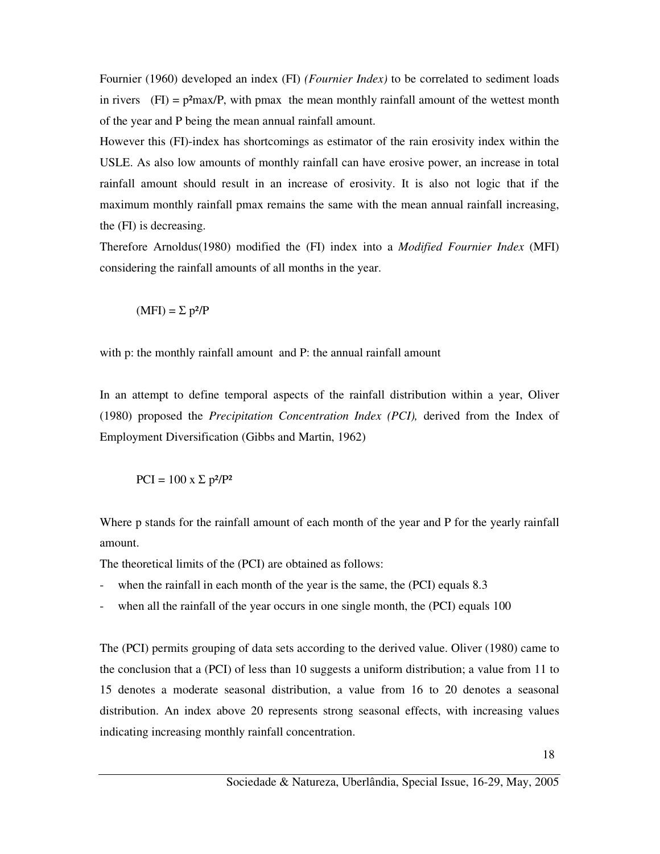Fournier (1960) developed an index (FI) *(Fournier Index)* to be correlated to sediment loads in rivers  $(FI) = p<sup>2</sup>max/P$ , with pmax the mean monthly rainfall amount of the wettest month of the year and P being the mean annual rainfall amount.

However this (FI)-index has shortcomings as estimator of the rain erosivity index within the USLE. As also low amounts of monthly rainfall can have erosive power, an increase in total rainfall amount should result in an increase of erosivity. It is also not logic that if the maximum monthly rainfall pmax remains the same with the mean annual rainfall increasing, the (FI) is decreasing.

Therefore Arnoldus(1980) modified the (FI) index into a *Modified Fournier Index* (MFI) considering the rainfall amounts of all months in the year.

$$
(MFI) = \Sigma p^2/P
$$

with p: the monthly rainfall amount and P: the annual rainfall amount

In an attempt to define temporal aspects of the rainfall distribution within a year, Oliver (1980) proposed the *Precipitation Concentration Index (PCI),* derived from the Index of Employment Diversification (Gibbs and Martin, 1962)

$$
PCI = 100 \text{ x } \Sigma \text{ p}^2/\text{P}^2
$$

Where p stands for the rainfall amount of each month of the year and P for the yearly rainfall amount.

The theoretical limits of the (PCI) are obtained as follows:

- when the rainfall in each month of the year is the same, the (PCI) equals 8.3
- when all the rainfall of the year occurs in one single month, the (PCI) equals 100

The (PCI) permits grouping of data sets according to the derived value. Oliver (1980) came to the conclusion that a (PCI) of less than 10 suggests a uniform distribution; a value from 11 to 15 denotes a moderate seasonal distribution, a value from 16 to 20 denotes a seasonal distribution. An index above 20 represents strong seasonal effects, with increasing values indicating increasing monthly rainfall concentration.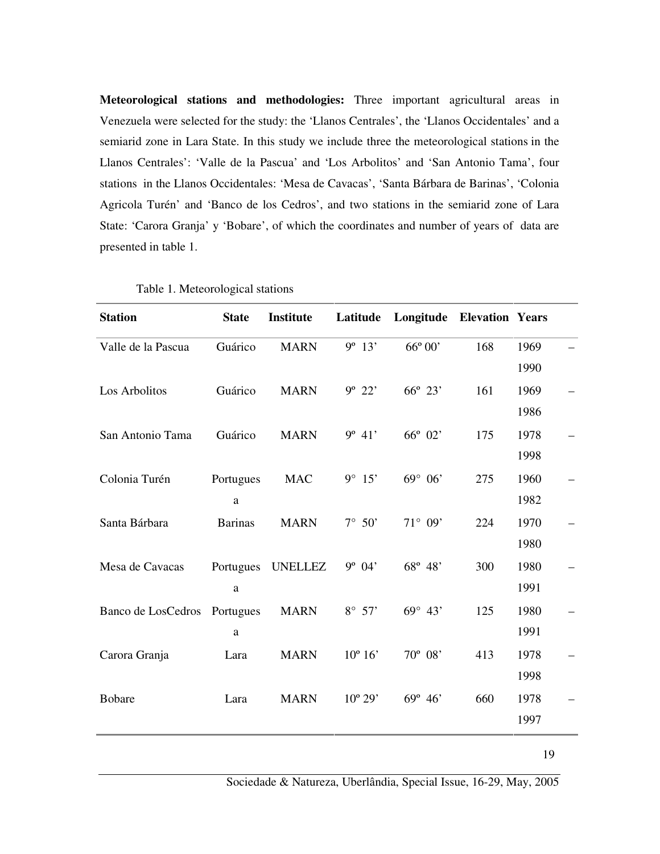**Meteorological stations and methodologies:** Three important agricultural areas in Venezuela were selected for the study: the 'Llanos Centrales', the 'Llanos Occidentales' and a semiarid zone in Lara State. In this study we include three the meteorological stations in the Llanos Centrales': 'Valle de la Pascua' and 'Los Arbolitos' and 'San Antonio Tama', four stations in the Llanos Occidentales: 'Mesa de Cavacas', 'Santa Bárbara de Barinas', 'Colonia Agricola Turén' and 'Banco de los Cedros', and two stations in the semiarid zone of Lara State: 'Carora Granja' y 'Bobare', of which the coordinates and number of years of data are presented in table 1.

| <b>Station</b>               | <b>State</b>   | Institute      | Latitude         | <b>Longitude Elevation Years</b> |     |      |  |
|------------------------------|----------------|----------------|------------------|----------------------------------|-----|------|--|
| Valle de la Pascua           | Guárico        | <b>MARN</b>    | $9^{\circ}$ 13'  | $66^{\circ} 00'$                 | 168 | 1969 |  |
|                              |                |                |                  |                                  |     | 1990 |  |
| Los Arbolitos                | Guárico        | <b>MARN</b>    | $9^{\circ} 22'$  | 66° 23'                          | 161 | 1969 |  |
|                              |                |                |                  |                                  |     | 1986 |  |
| San Antonio Tama             | Guárico        | <b>MARN</b>    | $9^{\circ} 41'$  | 66° 02'                          | 175 | 1978 |  |
|                              |                |                |                  |                                  |     | 1998 |  |
| Colonia Turén                | Portugues      | <b>MAC</b>     | 9° 15'           | $69^{\circ} 06'$                 | 275 | 1960 |  |
|                              | a              |                |                  |                                  |     | 1982 |  |
| Santa Bárbara                | <b>Barinas</b> | <b>MARN</b>    | $7^\circ$ 50'    | $71^{\circ} 09'$                 | 224 | 1970 |  |
|                              |                |                |                  |                                  |     | 1980 |  |
| Mesa de Cavacas              | Portugues      | <b>UNELLEZ</b> | $9^{\circ}$ 04'  | 68° 48'                          | 300 | 1980 |  |
|                              | a              |                |                  |                                  |     | 1991 |  |
| Banco de LosCedros Portugues |                | <b>MARN</b>    | $8^\circ$ 57'    | $69^{\circ} 43'$                 | 125 | 1980 |  |
|                              | a              |                |                  |                                  |     | 1991 |  |
| Carora Granja                | Lara           | <b>MARN</b>    | $10^{\circ} 16'$ | 70° 08'                          | 413 | 1978 |  |
|                              |                |                |                  |                                  |     | 1998 |  |
| <b>Bobare</b>                | Lara           | <b>MARN</b>    | $10^{\circ} 29'$ | $69^{\circ} 46'$                 | 660 | 1978 |  |
|                              |                |                |                  |                                  |     | 1997 |  |
|                              |                |                |                  |                                  |     |      |  |

Table 1. Meteorological stations

19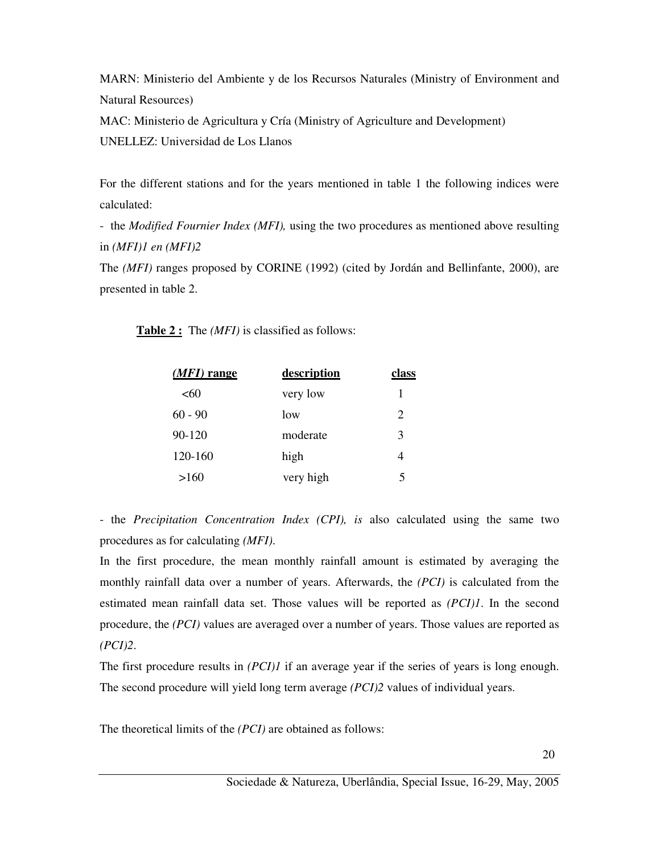MARN: Ministerio del Ambiente y de los Recursos Naturales (Ministry of Environment and Natural Resources)

MAC: Ministerio de Agricultura y Cría (Ministry of Agriculture and Development) UNELLEZ: Universidad de Los Llanos

For the different stations and for the years mentioned in table 1 the following indices were calculated:

- the *Modified Fournier Index (MFI),* using the two procedures as mentioned above resulting in *(MFI)1 en (MFI)2* 

The *(MFI)* ranges proposed by CORINE (1992) (cited by Jordán and Bellinfante, 2000), are presented in table 2.

**Table 2 :** The *(MFI)* is classified as follows:

| $(MFI)$ range | description | class |
|---------------|-------------|-------|
| <60           | very low    | 1     |
| $60 - 90$     | low         | 2     |
| 90-120        | moderate    | 3     |
| 120-160       | high        | 4     |
| >160          | very high   |       |

- the *Precipitation Concentration Index (CPI), is* also calculated using the same two procedures as for calculating *(MFI)*.

In the first procedure, the mean monthly rainfall amount is estimated by averaging the monthly rainfall data over a number of years. Afterwards, the *(PCI)* is calculated from the estimated mean rainfall data set. Those values will be reported as *(PCI)1*. In the second procedure, the *(PCI)* values are averaged over a number of years. Those values are reported as *(PCI)2*.

The first procedure results in *(PCI)1* if an average year if the series of years is long enough. The second procedure will yield long term average *(PCI)2* values of individual years.

The theoretical limits of the *(PCI)* are obtained as follows: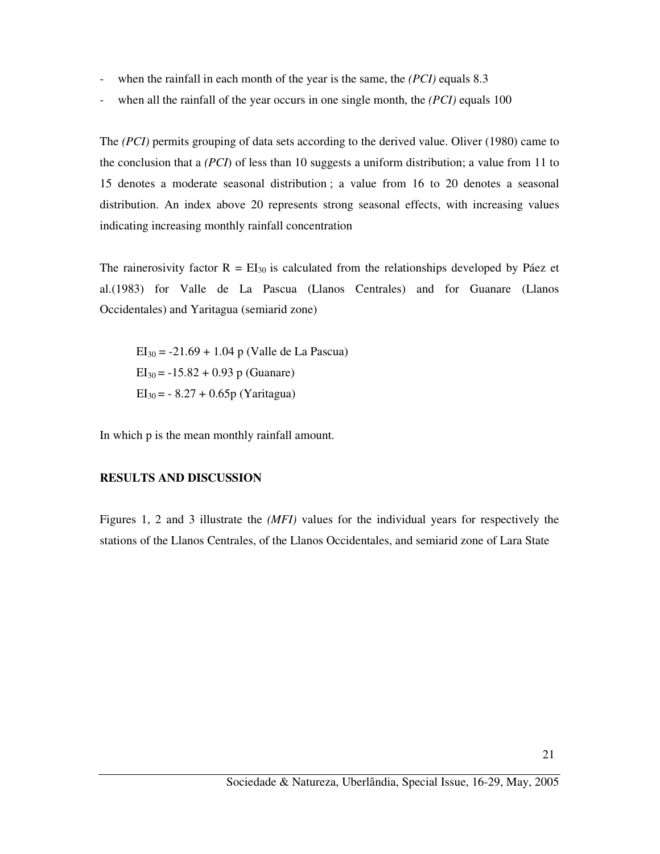- when the rainfall in each month of the year is the same, the *(PCI)* equals 8.3
- when all the rainfall of the year occurs in one single month, the *(PCI)* equals 100

The *(PCI)* permits grouping of data sets according to the derived value. Oliver (1980) came to the conclusion that a *(PCI*) of less than 10 suggests a uniform distribution; a value from 11 to 15 denotes a moderate seasonal distribution ; a value from 16 to 20 denotes a seasonal distribution. An index above 20 represents strong seasonal effects, with increasing values indicating increasing monthly rainfall concentration

The rainerosivity factor  $R = EI_{30}$  is calculated from the relationships developed by Páez et al.(1983) for Valle de La Pascua (Llanos Centrales) and for Guanare (Llanos Occidentales) and Yaritagua (semiarid zone)

 $EI_{30} = -21.69 + 1.04$  p (Valle de La Pascua)  $EI_{30} = -15.82 + 0.93$  p (Guanare)  $EI_{30} = -8.27 + 0.65p$  (Yaritagua)

In which p is the mean monthly rainfall amount.

#### **RESULTS AND DISCUSSION**

Figures 1, 2 and 3 illustrate the *(MFI)* values for the individual years for respectively the stations of the Llanos Centrales, of the Llanos Occidentales, and semiarid zone of Lara State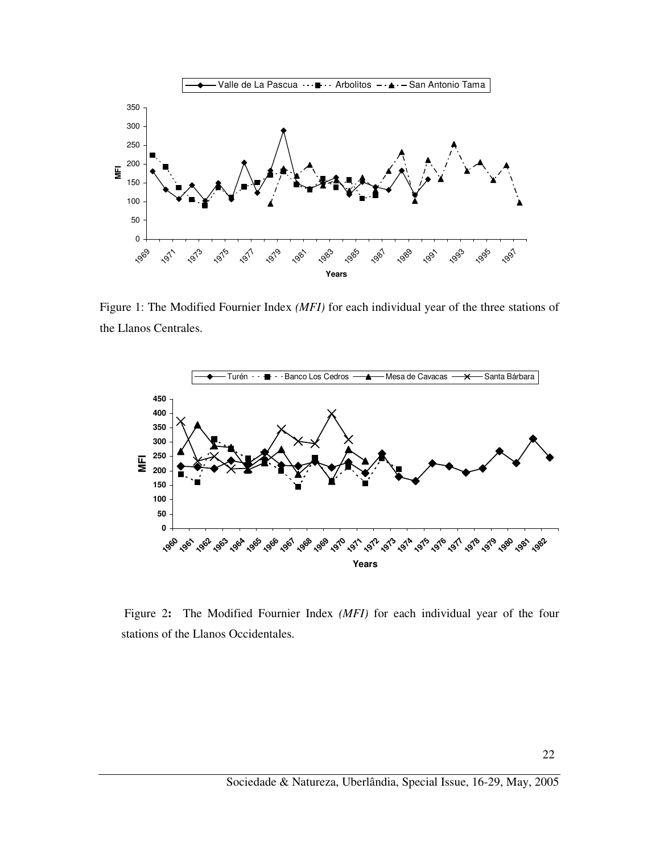

Figure 1: The Modified Fournier Index *(MFI)* for each individual year of the three stations of the Llanos Centrales.



 Figure 2**:** The Modified Fournier Index *(MFI)* for each individual year of the four stations of the Llanos Occidentales.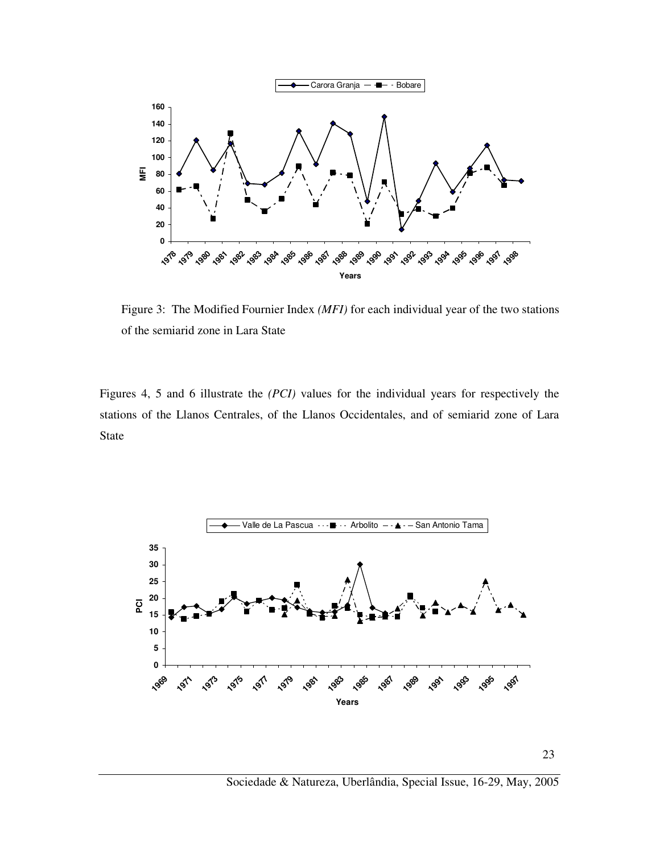

Figure 3: The Modified Fournier Index *(MFI)* for each individual year of the two stations of the semiarid zone in Lara State

Figures 4, 5 and 6 illustrate the *(PCI)* values for the individual years for respectively the stations of the Llanos Centrales, of the Llanos Occidentales, and of semiarid zone of Lara State



Sociedade & Natureza, Uberlândia, Special Issue, 16-29, May, 2005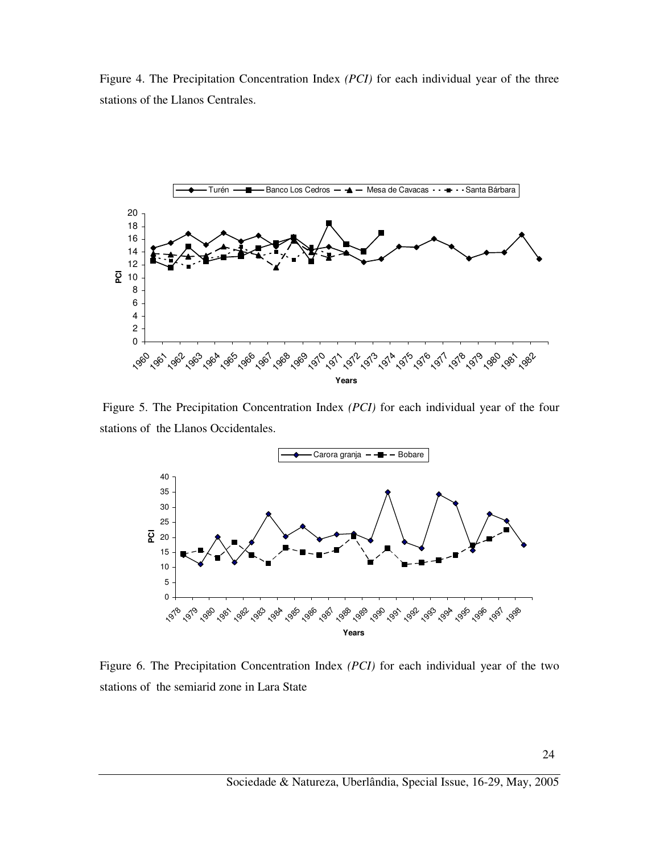Figure 4. The Precipitation Concentration Index *(PCI)* for each individual year of the three stations of the Llanos Centrales.



Figure 5. The Precipitation Concentration Index *(PCI)* for each individual year of the four stations of the Llanos Occidentales.



Figure 6. The Precipitation Concentration Index *(PCI)* for each individual year of the two stations of the semiarid zone in Lara State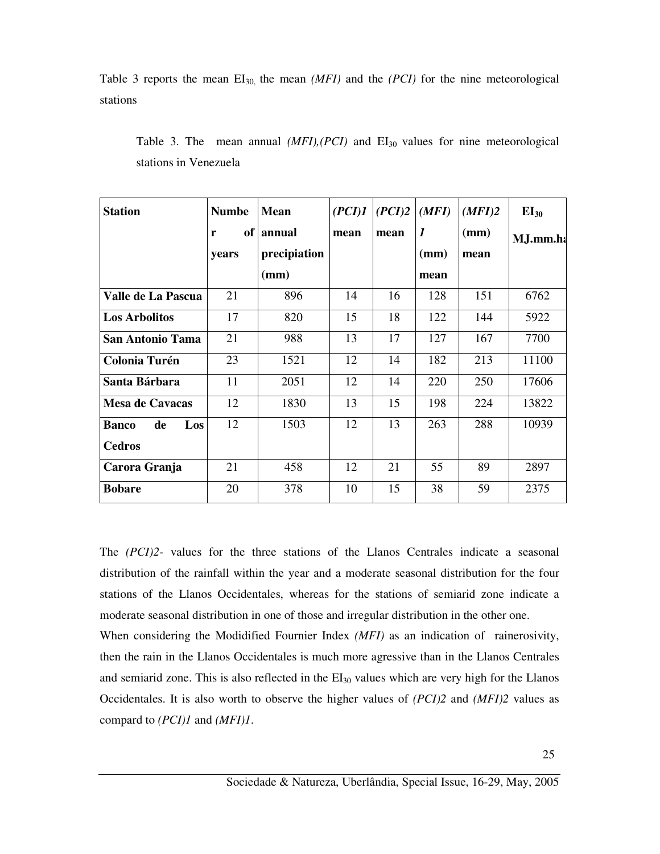Table 3 reports the mean EI<sub>30</sub>, the mean *(MFI)* and the *(PCI)* for the nine meteorological stations

| <b>Station</b>            | <b>Numbe</b> | <b>Mean</b>  | (PCI)1 | (PCI)2 | (MFI)            | (MFI)2 | $EI_{30}$ |
|---------------------------|--------------|--------------|--------|--------|------------------|--------|-----------|
|                           | of<br>r      | annual       | mean   | mean   | $\boldsymbol{l}$ | (mm)   | M.J.mm.ha |
|                           | years        | precipiation |        |        | (mm)             | mean   |           |
|                           |              | (mm)         |        |        | mean             |        |           |
| Valle de La Pascua        | 21           | 896          | 14     | 16     | 128              | 151    | 6762      |
| <b>Los Arbolitos</b>      | 17           | 820          | 15     | 18     | 122              | 144    | 5922      |
| <b>San Antonio Tama</b>   | 21           | 988          | 13     | 17     | 127              | 167    | 7700      |
| <b>Colonia Turén</b>      | 23           | 1521         | 12     | 14     | 182              | 213    | 11100     |
| Santa Bárbara             | 11           | 2051         | 12     | 14     | 220              | 250    | 17606     |
| <b>Mesa de Cavacas</b>    | 12           | 1830         | 13     | 15     | 198              | 224    | 13822     |
| Los<br>de<br><b>Banco</b> | 12           | 1503         | 12     | 13     | 263              | 288    | 10939     |
| <b>Cedros</b>             |              |              |        |        |                  |        |           |
| Carora Granja             | 21           | 458          | 12     | 21     | 55               | 89     | 2897      |
| <b>Bobare</b>             | 20           | 378          | 10     | 15     | 38               | 59     | 2375      |

Table 3. The mean annual *(MFI), (PCI)* and EI<sub>30</sub> values for nine meteorological stations in Venezuela

The *(PCI)2-* values for the three stations of the Llanos Centrales indicate a seasonal distribution of the rainfall within the year and a moderate seasonal distribution for the four stations of the Llanos Occidentales, whereas for the stations of semiarid zone indicate a moderate seasonal distribution in one of those and irregular distribution in the other one.

When considering the Modidified Fournier Index *(MFI)* as an indication of rainerosivity, then the rain in the Llanos Occidentales is much more agressive than in the Llanos Centrales and semiarid zone. This is also reflected in the  $EI_{30}$  values which are very high for the Llanos Occidentales. It is also worth to observe the higher values of *(PCI)2* and *(MFI)2* values as compard to *(PCI)1* and *(MFI)1*.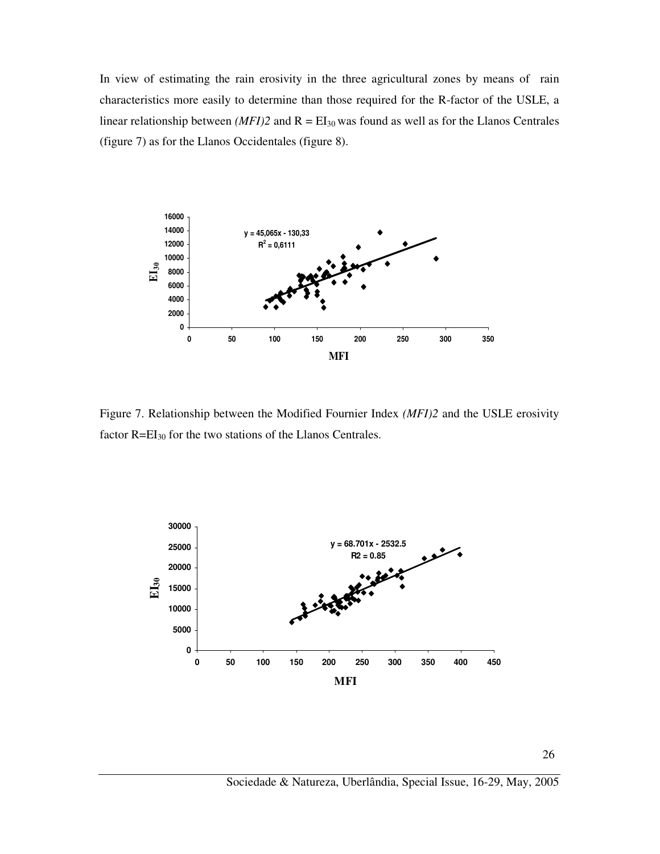In view of estimating the rain erosivity in the three agricultural zones by means of rain characteristics more easily to determine than those required for the R-factor of the USLE, a linear relationship between *(MFI)2* and  $R = EI_{30}$  was found as well as for the Llanos Centrales (figure 7) as for the Llanos Occidentales (figure 8).



Figure 7. Relationship between the Modified Fournier Index *(MFI)2* and the USLE erosivity factor  $R=EI_{30}$  for the two stations of the Llanos Centrales.

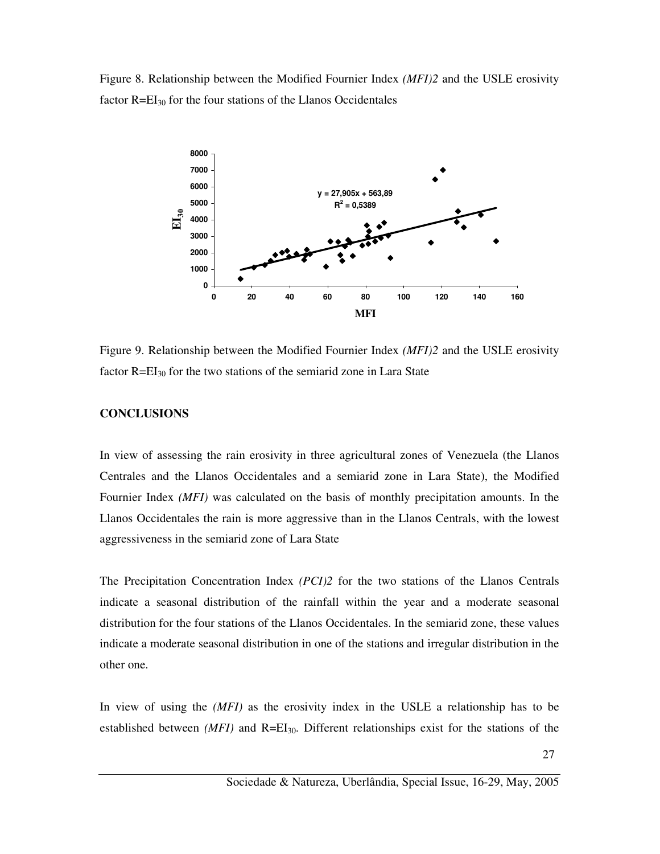Figure 8. Relationship between the Modified Fournier Index *(MFI)2* and the USLE erosivity factor R=EI30 for the four stations of the Llanos Occidentales



Figure 9. Relationship between the Modified Fournier Index *(MFI)2* and the USLE erosivity factor  $R=EI_{30}$  for the two stations of the semiarid zone in Lara State

#### **CONCLUSIONS**

In view of assessing the rain erosivity in three agricultural zones of Venezuela (the Llanos Centrales and the Llanos Occidentales and a semiarid zone in Lara State), the Modified Fournier Index *(MFI)* was calculated on the basis of monthly precipitation amounts. In the Llanos Occidentales the rain is more aggressive than in the Llanos Centrals, with the lowest aggressiveness in the semiarid zone of Lara State

The Precipitation Concentration Index *(PCI)2* for the two stations of the Llanos Centrals indicate a seasonal distribution of the rainfall within the year and a moderate seasonal distribution for the four stations of the Llanos Occidentales. In the semiarid zone, these values indicate a moderate seasonal distribution in one of the stations and irregular distribution in the other one.

In view of using the *(MFI)* as the erosivity index in the USLE a relationship has to be established between *(MFI)* and R=EI<sub>30</sub>. Different relationships exist for the stations of the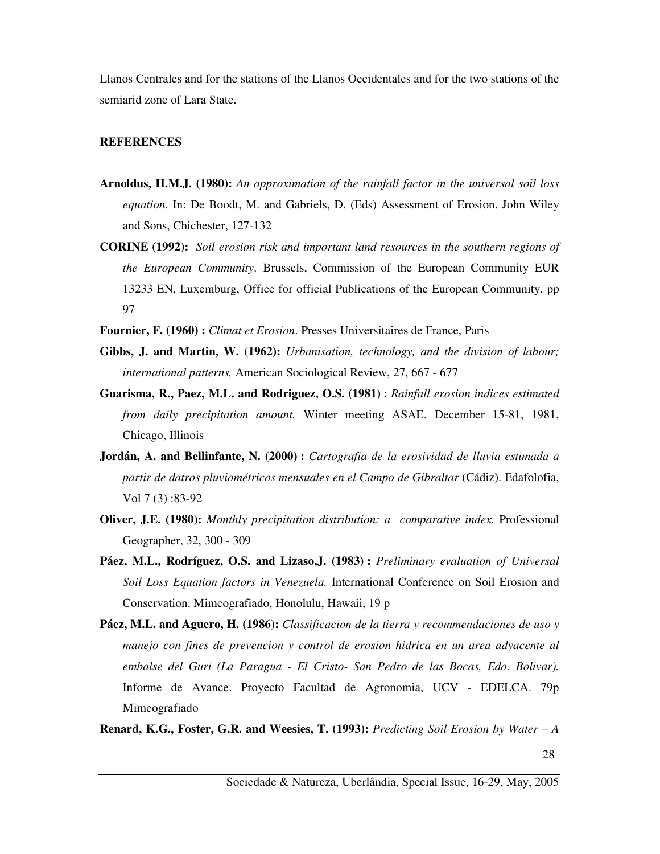Llanos Centrales and for the stations of the Llanos Occidentales and for the two stations of the semiarid zone of Lara State.

### **REFERENCES**

- **Arnoldus, H.M.J. (1980):** *An approximation of the rainfall factor in the universal soil loss equation.* In: De Boodt, M. and Gabriels, D. (Eds) Assessment of Erosion. John Wiley and Sons, Chichester, 127-132
- **CORINE (1992):** *Soil erosion risk and important land resources in the southern regions of the European Community*. Brussels, Commission of the European Community EUR 13233 EN, Luxemburg, Office for official Publications of the European Community, pp 97
- **Fournier, F. (1960) :** *Climat et Erosion*. Presses Universitaires de France, Paris
- **Gibbs, J. and Martin, W. (1962):** *Urbanisation, technology, and the division of labour; international patterns,* American Sociological Review, 27, 667 - 677
- **Guarisma, R., Paez, M.L. and Rodriguez, O.S. (1981)** : *Rainfall erosion indices estimated from daily precipitation amount.* Winter meeting ASAE. December 15-81, 1981, Chicago, Illinois
- **Jordán, A. and Bellinfante, N. (2000) :** *Cartografia de la erosividad de lluvia estimada a partir de datros pluviométricos mensuales en el Campo de Gibraltar* (Cádiz). Edafolofia, Vol 7 (3) :83-92
- **Oliver, J.E. (1980):** *Monthly precipitation distribution: a comparative index.* Professional Geographer, 32, 300 - 309
- **Páez, M.L., Rodríguez, O.S. and Lizaso,J. (1983) :** *Preliminary evaluation of Universal Soil Loss Equation factors in Venezuela.* International Conference on Soil Erosion and Conservation. Mimeografiado, Honolulu, Hawaii, 19 p
- **Páez, M.L. and Aguero, H. (1986):** *Classificacion de la tierra y recommendaciones de uso y manejo con fines de prevencion y control de erosion hidrica en un area adyacente al embalse del Guri (La Paragua - El Cristo- San Pedro de las Bocas, Edo. Bolivar).*  Informe de Avance. Proyecto Facultad de Agronomia, UCV - EDELCA. 79p Mimeografiado
- **Renard, K.G., Foster, G.R. and Weesies, T. (1993):** *Predicting Soil Erosion by Water A*